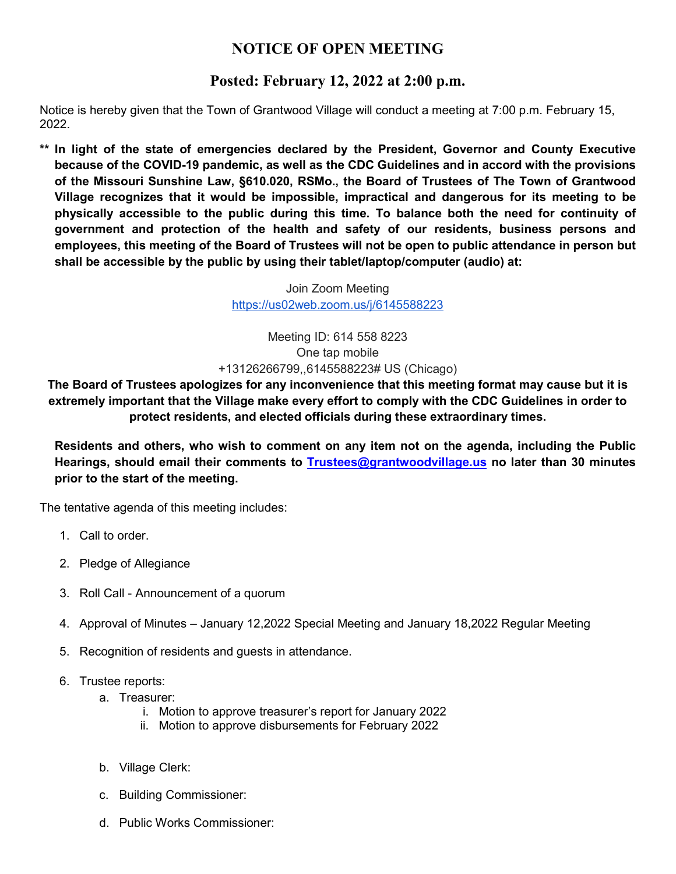## **NOTICE OF OPEN MEETING**

## **Posted: February 12, 2022 at 2:00 p.m.**

Notice is hereby given that the Town of Grantwood Village will conduct a meeting at 7:00 p.m. February 15, 2022.

**\*\* In light of the state of emergencies declared by the President, Governor and County Executive because of the COVID-19 pandemic, as well as the CDC Guidelines and in accord with the provisions of the Missouri Sunshine Law, §610.020, RSMo., the Board of Trustees of The Town of Grantwood Village recognizes that it would be impossible, impractical and dangerous for its meeting to be physically accessible to the public during this time. To balance both the need for continuity of government and protection of the health and safety of our residents, business persons and employees, this meeting of the Board of Trustees will not be open to public attendance in person but shall be accessible by the public by using their tablet/laptop/computer (audio) at:**

> Join Zoom Meeting <https://us02web.zoom.us/j/6145588223>

Meeting ID: 614 558 8223 One tap mobile +13126266799,,6145588223# US (Chicago)

**The Board of Trustees apologizes for any inconvenience that this meeting format may cause but it is extremely important that the Village make every effort to comply with the CDC Guidelines in order to protect residents, and elected officials during these extraordinary times.**

**Residents and others, who wish to comment on any item not on the agenda, including the Public Hearings, should email their comments to [Trustees@grantwoodvillage.us](mailto:Trustees@grantwoodvillage.us) no later than 30 minutes prior to the start of the meeting.** 

The tentative agenda of this meeting includes:

- 1. Call to order.
- 2. Pledge of Allegiance
- 3. Roll Call Announcement of a quorum
- 4. Approval of Minutes January 12,2022 Special Meeting and January 18,2022 Regular Meeting
- 5. Recognition of residents and guests in attendance.
- 6. Trustee reports:
	- a. Treasurer:
		- i. Motion to approve treasurer's report for January 2022
		- ii. Motion to approve disbursements for February 2022
	- b. Village Clerk:
	- c. Building Commissioner:
	- d. Public Works Commissioner: